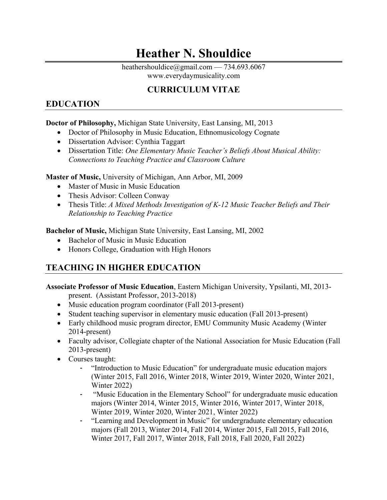# **Heather N. Shouldice**

heathershouldice@gmail.com — 734.693.6067 www.everydaymusicality.com

# **CURRICULUM VITAE**

### **EDUCATION**

#### **Doctor of Philosophy,** Michigan State University, East Lansing, MI, 2013

- Doctor of Philosophy in Music Education, Ethnomusicology Cognate
- Dissertation Advisor: Cynthia Taggart
- Dissertation Title: *One Elementary Music Teacher's Beliefs About Musical Ability: Connections to Teaching Practice and Classroom Culture*

**Master of Music,** University of Michigan, Ann Arbor, MI, 2009

- Master of Music in Music Education
- Thesis Advisor: Colleen Conway
- Thesis Title: *A Mixed Methods Investigation of K-12 Music Teacher Beliefs and Their Relationship to Teaching Practice*

**Bachelor of Music,** Michigan State University, East Lansing, MI, 2002

- Bachelor of Music in Music Education
- Honors College, Graduation with High Honors

# **TEACHING IN HIGHER EDUCATION**

**Associate Professor of Music Education**, Eastern Michigan University, Ypsilanti, MI, 2013 present. (Assistant Professor, 2013-2018)

- Music education program coordinator (Fall 2013-present)
- Student teaching supervisor in elementary music education (Fall 2013-present)
- Early childhood music program director, EMU Community Music Academy (Winter 2014-present)
- Faculty advisor, Collegiate chapter of the National Association for Music Education (Fall 2013-present)
- Courses taught:
	- "Introduction to Music Education" for undergraduate music education majors (Winter 2015, Fall 2016, Winter 2018, Winter 2019, Winter 2020, Winter 2021, Winter 2022)
	- "Music Education in the Elementary School" for undergraduate music education majors (Winter 2014, Winter 2015, Winter 2016, Winter 2017, Winter 2018, Winter 2019, Winter 2020, Winter 2021, Winter 2022)
	- "Learning and Development in Music" for undergraduate elementary education majors (Fall 2013, Winter 2014, Fall 2014, Winter 2015, Fall 2015, Fall 2016, Winter 2017, Fall 2017, Winter 2018, Fall 2018, Fall 2020, Fall 2022)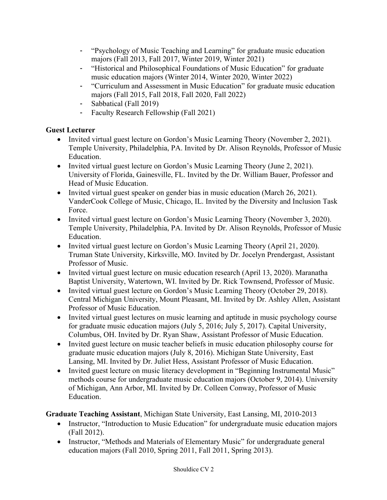- "Psychology of Music Teaching and Learning" for graduate music education majors (Fall 2013, Fall 2017, Winter 2019, Winter 2021)
- "Historical and Philosophical Foundations of Music Education" for graduate music education majors (Winter 2014, Winter 2020, Winter 2022)
- "Curriculum and Assessment in Music Education" for graduate music education majors (Fall 2015, Fall 2018, Fall 2020, Fall 2022)
- Sabbatical (Fall 2019)
- Faculty Research Fellowship (Fall 2021)

### **Guest Lecturer**

- Invited virtual guest lecture on Gordon's Music Learning Theory (November 2, 2021). Temple University, Philadelphia, PA. Invited by Dr. Alison Reynolds, Professor of Music Education.
- Invited virtual guest lecture on Gordon's Music Learning Theory (June 2, 2021). University of Florida, Gainesville, FL. Invited by the Dr. William Bauer, Professor and Head of Music Education.
- Invited virtual guest speaker on gender bias in music education (March 26, 2021). VanderCook College of Music, Chicago, IL. Invited by the Diversity and Inclusion Task Force.
- Invited virtual guest lecture on Gordon's Music Learning Theory (November 3, 2020). Temple University, Philadelphia, PA. Invited by Dr. Alison Reynolds, Professor of Music Education.
- Invited virtual guest lecture on Gordon's Music Learning Theory (April 21, 2020). Truman State University, Kirksville, MO. Invited by Dr. Jocelyn Prendergast, Assistant Professor of Music.
- Invited virtual guest lecture on music education research (April 13, 2020). Maranatha Baptist University, Watertown, WI. Invited by Dr. Rick Townsend, Professor of Music.
- Invited virtual guest lecture on Gordon's Music Learning Theory (October 29, 2018). Central Michigan University, Mount Pleasant, MI. Invited by Dr. Ashley Allen, Assistant Professor of Music Education.
- Invited virtual guest lectures on music learning and aptitude in music psychology course for graduate music education majors (July 5, 2016; July 5, 2017). Capital University, Columbus, OH. Invited by Dr. Ryan Shaw, Assistant Professor of Music Education.
- Invited guest lecture on music teacher beliefs in music education philosophy course for graduate music education majors (July 8, 2016). Michigan State University, East Lansing, MI. Invited by Dr. Juliet Hess, Assistant Professor of Music Education.
- Invited guest lecture on music literacy development in "Beginning Instrumental Music" methods course for undergraduate music education majors (October 9, 2014). University of Michigan, Ann Arbor, MI. Invited by Dr. Colleen Conway, Professor of Music Education.

**Graduate Teaching Assistant**, Michigan State University, East Lansing, MI, 2010-2013

- Instructor, "Introduction to Music Education" for undergraduate music education majors (Fall 2012).
- Instructor, "Methods and Materials of Elementary Music" for undergraduate general education majors (Fall 2010, Spring 2011, Fall 2011, Spring 2013).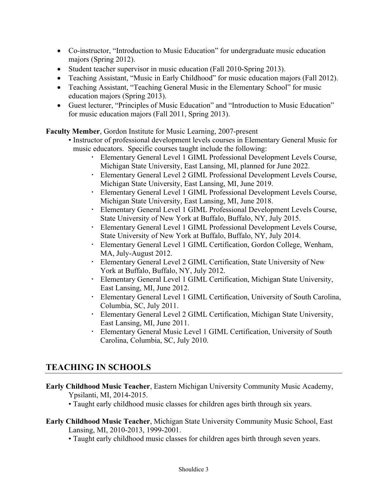- Co-instructor, "Introduction to Music Education" for undergraduate music education majors (Spring 2012).
- Student teacher supervisor in music education (Fall 2010-Spring 2013).
- Teaching Assistant, "Music in Early Childhood" for music education majors (Fall 2012).
- Teaching Assistant, "Teaching General Music in the Elementary School" for music education majors (Spring 2013).
- Guest lecturer, "Principles of Music Education" and "Introduction to Music Education" for music education majors (Fall 2011, Spring 2013).

**Faculty Member**, Gordon Institute for Music Learning, 2007-present

- Instructor of professional development levels courses in Elementary General Music for music educators. Specific courses taught include the following:
	- Elementary General Level 1 GIML Professional Development Levels Course, Michigan State University, East Lansing, MI, planned for June 2022.
	- Elementary General Level 2 GIML Professional Development Levels Course, Michigan State University, East Lansing, MI, June 2019.
	- Elementary General Level 1 GIML Professional Development Levels Course, Michigan State University, East Lansing, MI, June 2018.
	- Elementary General Level 1 GIML Professional Development Levels Course, State University of New York at Buffalo, Buffalo, NY, July 2015.
	- Elementary General Level 1 GIML Professional Development Levels Course, State University of New York at Buffalo, Buffalo, NY, July 2014.
	- Elementary General Level 1 GIML Certification, Gordon College, Wenham, MA, July-August 2012.
	- Elementary General Level 2 GIML Certification, State University of New York at Buffalo, Buffalo, NY, July 2012.
	- Elementary General Level 1 GIML Certification, Michigan State University, East Lansing, MI, June 2012.
	- Elementary General Level 1 GIML Certification, University of South Carolina, Columbia, SC, July 2011.
	- Elementary General Level 2 GIML Certification, Michigan State University, East Lansing, MI, June 2011.
	- Elementary General Music Level 1 GIML Certification, University of South Carolina, Columbia, SC, July 2010.

## **TEACHING IN SCHOOLS**

**Early Childhood Music Teacher**, Eastern Michigan University Community Music Academy, Ypsilanti, MI, 2014-2015.

• Taught early childhood music classes for children ages birth through six years.

- **Early Childhood Music Teacher**, Michigan State University Community Music School, East Lansing, MI, 2010-2013, 1999-2001.
	- Taught early childhood music classes for children ages birth through seven years.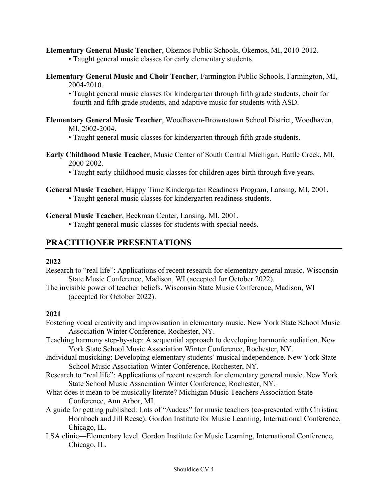#### **Elementary General Music Teacher**, Okemos Public Schools, Okemos, MI, 2010-2012.

- Taught general music classes for early elementary students.
- **Elementary General Music and Choir Teacher**, Farmington Public Schools, Farmington, MI, 2004-2010.
	- Taught general music classes for kindergarten through fifth grade students, choir for fourth and fifth grade students, and adaptive music for students with ASD.
- **Elementary General Music Teacher**, Woodhaven-Brownstown School District, Woodhaven, MI, 2002-2004.
	- Taught general music classes for kindergarten through fifth grade students.
- **Early Childhood Music Teacher**, Music Center of South Central Michigan, Battle Creek, MI, 2000-2002.
	- Taught early childhood music classes for children ages birth through five years.

#### **General Music Teacher**, Happy Time Kindergarten Readiness Program, Lansing, MI, 2001.

• Taught general music classes for kindergarten readiness students.

#### **General Music Teacher**, Beekman Center, Lansing, MI, 2001.

• Taught general music classes for students with special needs.

### **PRACTITIONER PRESENTATIONS**

#### **2022**

- Research to "real life": Applications of recent research for elementary general music. Wisconsin State Music Conference, Madison, WI (accepted for October 2022).
- The invisible power of teacher beliefs. Wisconsin State Music Conference, Madison, WI (accepted for October 2022).

#### **2021**

- Fostering vocal creativity and improvisation in elementary music. New York State School Music Association Winter Conference, Rochester, NY.
- Teaching harmony step-by-step: A sequential approach to developing harmonic audiation. New York State School Music Association Winter Conference, Rochester, NY.
- Individual musicking: Developing elementary students' musical independence. New York State School Music Association Winter Conference, Rochester, NY.
- Research to "real life": Applications of recent research for elementary general music. New York State School Music Association Winter Conference, Rochester, NY.
- What does it mean to be musically literate? Michigan Music Teachers Association State Conference, Ann Arbor, MI.
- A guide for getting published: Lots of "Audeas" for music teachers (co-presented with Christina Hornbach and Jill Reese). Gordon Institute for Music Learning, International Conference, Chicago, IL.
- LSA clinic—Elementary level. Gordon Institute for Music Learning, International Conference, Chicago, IL.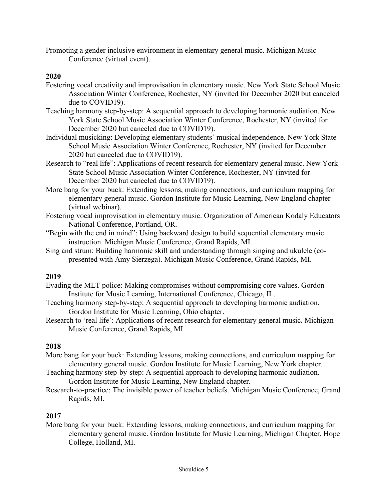Promoting a gender inclusive environment in elementary general music. Michigan Music Conference (virtual event).

#### **2020**

- Fostering vocal creativity and improvisation in elementary music. New York State School Music Association Winter Conference, Rochester, NY (invited for December 2020 but canceled due to COVID19).
- Teaching harmony step-by-step: A sequential approach to developing harmonic audiation. New York State School Music Association Winter Conference, Rochester, NY (invited for December 2020 but canceled due to COVID19).
- Individual musicking: Developing elementary students' musical independence. New York State School Music Association Winter Conference, Rochester, NY (invited for December 2020 but canceled due to COVID19).
- Research to "real life": Applications of recent research for elementary general music. New York State School Music Association Winter Conference, Rochester, NY (invited for December 2020 but canceled due to COVID19).
- More bang for your buck: Extending lessons, making connections, and curriculum mapping for elementary general music. Gordon Institute for Music Learning, New England chapter (virtual webinar).
- Fostering vocal improvisation in elementary music. Organization of American Kodaly Educators National Conference, Portland, OR.
- "Begin with the end in mind": Using backward design to build sequential elementary music instruction. Michigan Music Conference, Grand Rapids, MI.
- Sing and strum: Building harmonic skill and understanding through singing and ukulele (copresented with Amy Sierzega). Michigan Music Conference, Grand Rapids, MI.

#### **2019**

- Evading the MLT police: Making compromises without compromising core values. Gordon Institute for Music Learning, International Conference, Chicago, IL.
- Teaching harmony step-by-step: A sequential approach to developing harmonic audiation. Gordon Institute for Music Learning, Ohio chapter.
- Research to 'real life': Applications of recent research for elementary general music. Michigan Music Conference, Grand Rapids, MI.

#### **2018**

- More bang for your buck: Extending lessons, making connections, and curriculum mapping for elementary general music. Gordon Institute for Music Learning, New York chapter.
- Teaching harmony step-by-step: A sequential approach to developing harmonic audiation. Gordon Institute for Music Learning, New England chapter.
- Research-to-practice: The invisible power of teacher beliefs. Michigan Music Conference, Grand Rapids, MI.

#### **2017**

More bang for your buck: Extending lessons, making connections, and curriculum mapping for elementary general music. Gordon Institute for Music Learning, Michigan Chapter. Hope College, Holland, MI.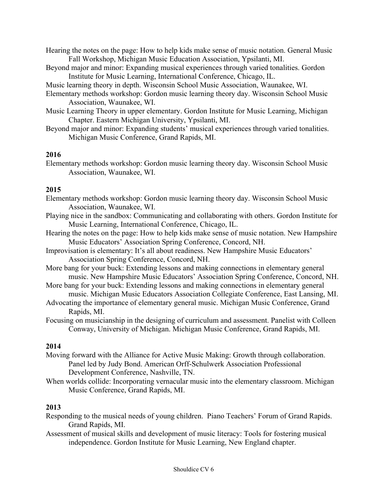- Hearing the notes on the page: How to help kids make sense of music notation. General Music Fall Workshop, Michigan Music Education Association, Ypsilanti, MI.
- Beyond major and minor: Expanding musical experiences through varied tonalities. Gordon Institute for Music Learning, International Conference, Chicago, IL.
- Music learning theory in depth. Wisconsin School Music Association, Waunakee, WI.
- Elementary methods workshop: Gordon music learning theory day. Wisconsin School Music Association, Waunakee, WI.
- Music Learning Theory in upper elementary. Gordon Institute for Music Learning, Michigan Chapter. Eastern Michigan University, Ypsilanti, MI.
- Beyond major and minor: Expanding students' musical experiences through varied tonalities. Michigan Music Conference, Grand Rapids, MI.

#### **2016**

Elementary methods workshop: Gordon music learning theory day. Wisconsin School Music Association, Waunakee, WI.

#### **2015**

- Elementary methods workshop: Gordon music learning theory day. Wisconsin School Music Association, Waunakee, WI.
- Playing nice in the sandbox: Communicating and collaborating with others. Gordon Institute for Music Learning, International Conference, Chicago, IL.
- Hearing the notes on the page: How to help kids make sense of music notation. New Hampshire Music Educators' Association Spring Conference, Concord, NH.
- Improvisation is elementary: It's all about readiness. New Hampshire Music Educators' Association Spring Conference, Concord, NH.
- More bang for your buck: Extending lessons and making connections in elementary general music. New Hampshire Music Educators' Association Spring Conference, Concord, NH.
- More bang for your buck: Extending lessons and making connections in elementary general music. Michigan Music Educators Association Collegiate Conference, East Lansing, MI.
- Advocating the importance of elementary general music. Michigan Music Conference, Grand Rapids, MI.

Focusing on musicianship in the designing of curriculum and assessment. Panelist with Colleen Conway, University of Michigan. Michigan Music Conference, Grand Rapids, MI.

#### **2014**

- Moving forward with the Alliance for Active Music Making: Growth through collaboration. Panel led by Judy Bond. American Orff-Schulwerk Association Professional Development Conference, Nashville, TN.
- When worlds collide: Incorporating vernacular music into the elementary classroom. Michigan Music Conference, Grand Rapids, MI.

#### **2013**

- Responding to the musical needs of young children. Piano Teachers' Forum of Grand Rapids. Grand Rapids, MI.
- Assessment of musical skills and development of music literacy: Tools for fostering musical independence. Gordon Institute for Music Learning, New England chapter.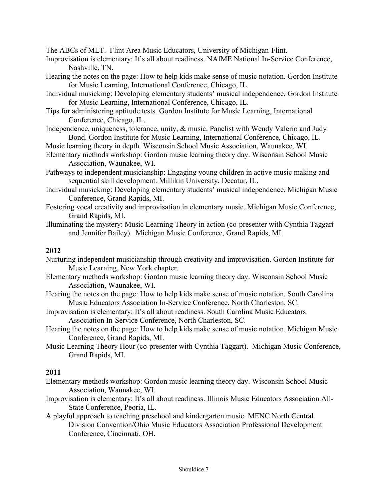The ABCs of MLT. Flint Area Music Educators, University of Michigan-Flint.

- Improvisation is elementary: It's all about readiness. NAfME National In-Service Conference, Nashville, TN.
- Hearing the notes on the page: How to help kids make sense of music notation. Gordon Institute for Music Learning, International Conference, Chicago, IL.
- Individual musicking: Developing elementary students' musical independence. Gordon Institute for Music Learning, International Conference, Chicago, IL.
- Tips for administering aptitude tests. Gordon Institute for Music Learning, International Conference, Chicago, IL.
- Independence, uniqueness, tolerance, unity, & music. Panelist with Wendy Valerio and Judy Bond. Gordon Institute for Music Learning, International Conference, Chicago, IL.
- Music learning theory in depth. Wisconsin School Music Association, Waunakee, WI.
- Elementary methods workshop: Gordon music learning theory day. Wisconsin School Music Association, Waunakee, WI.
- Pathways to independent musicianship: Engaging young children in active music making and sequential skill development. Millikin University, Decatur, IL.
- Individual musicking: Developing elementary students' musical independence. Michigan Music Conference, Grand Rapids, MI.
- Fostering vocal creativity and improvisation in elementary music. Michigan Music Conference, Grand Rapids, MI.
- Illuminating the mystery: Music Learning Theory in action (co-presenter with Cynthia Taggart and Jennifer Bailey). Michigan Music Conference, Grand Rapids, MI.

#### **2012**

- Nurturing independent musicianship through creativity and improvisation. Gordon Institute for Music Learning, New York chapter.
- Elementary methods workshop: Gordon music learning theory day. Wisconsin School Music Association, Waunakee, WI.
- Hearing the notes on the page: How to help kids make sense of music notation. South Carolina Music Educators Association In-Service Conference, North Charleston, SC.
- Improvisation is elementary: It's all about readiness. South Carolina Music Educators Association In-Service Conference, North Charleston, SC.
- Hearing the notes on the page: How to help kids make sense of music notation. Michigan Music Conference, Grand Rapids, MI.
- Music Learning Theory Hour (co-presenter with Cynthia Taggart). Michigan Music Conference, Grand Rapids, MI.

#### **2011**

- Elementary methods workshop: Gordon music learning theory day. Wisconsin School Music Association, Waunakee, WI.
- Improvisation is elementary: It's all about readiness. Illinois Music Educators Association All-State Conference, Peoria, IL.
- A playful approach to teaching preschool and kindergarten music. MENC North Central Division Convention/Ohio Music Educators Association Professional Development Conference, Cincinnati, OH.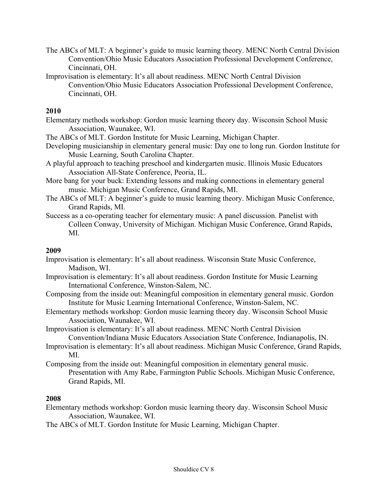- The ABCs of MLT: A beginner's guide to music learning theory. MENC North Central Division Convention/Ohio Music Educators Association Professional Development Conference, Cincinnati, OH.
- Improvisation is elementary: It's all about readiness. MENC North Central Division Convention/Ohio Music Educators Association Professional Development Conference, Cincinnati, OH.

#### **2010**

- Elementary methods workshop: Gordon music learning theory day. Wisconsin School Music Association, Waunakee, WI.
- The ABCs of MLT. Gordon Institute for Music Learning, Michigan Chapter.
- Developing musicianship in elementary general music: Day one to long run. Gordon Institute for Music Learning, South Carolina Chapter.
- A playful approach to teaching preschool and kindergarten music. Illinois Music Educators Association All-State Conference, Peoria, IL.
- More bang for your buck: Extending lessons and making connections in elementary general music. Michigan Music Conference, Grand Rapids, MI.
- The ABCs of MLT: A beginner's guide to music learning theory. Michigan Music Conference, Grand Rapids, MI.
- Success as a co-operating teacher for elementary music: A panel discussion. Panelist with Colleen Conway, University of Michigan. Michigan Music Conference, Grand Rapids, MI.

#### **2009**

- Improvisation is elementary: It's all about readiness. Wisconsin State Music Conference, Madison, WI.
- Improvisation is elementary: It's all about readiness. Gordon Institute for Music Learning International Conference, Winston-Salem, NC.
- Composing from the inside out: Meaningful composition in elementary general music. Gordon Institute for Music Learning International Conference, Winston-Salem, NC.
- Elementary methods workshop: Gordon music learning theory day. Wisconsin School Music Association, Waunakee, WI.

Improvisation is elementary: It's all about readiness. MENC North Central Division Convention/Indiana Music Educators Association State Conference, Indianapolis, IN.

- Improvisation is elementary: It's all about readiness. Michigan Music Conference, Grand Rapids, MI.
- Composing from the inside out: Meaningful composition in elementary general music. Presentation with Amy Rabe, Farmington Public Schools. Michigan Music Conference, Grand Rapids, MI.

#### **2008**

Elementary methods workshop: Gordon music learning theory day. Wisconsin School Music Association, Waunakee, WI.

The ABCs of MLT. Gordon Institute for Music Learning, Michigan Chapter.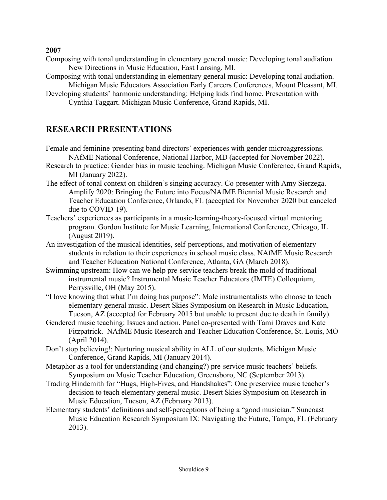**2007**

- Composing with tonal understanding in elementary general music: Developing tonal audiation. New Directions in Music Education, East Lansing, MI.
- Composing with tonal understanding in elementary general music: Developing tonal audiation. Michigan Music Educators Association Early Careers Conferences, Mount Pleasant, MI.
- Developing students' harmonic understanding: Helping kids find home. Presentation with Cynthia Taggart. Michigan Music Conference, Grand Rapids, MI.

## **RESEARCH PRESENTATIONS**

- Female and feminine-presenting band directors' experiences with gender microaggressions. NAfME National Conference, National Harbor, MD (accepted for November 2022).
- Research to practice: Gender bias in music teaching. Michigan Music Conference, Grand Rapids, MI (January 2022).
- The effect of tonal context on children's singing accuracy. Co-presenter with Amy Sierzega. Amplify 2020: Bringing the Future into Focus/NAfME Biennial Music Research and Teacher Education Conference, Orlando, FL (accepted for November 2020 but canceled due to COVID-19).
- Teachers' experiences as participants in a music-learning-theory-focused virtual mentoring program. Gordon Institute for Music Learning, International Conference, Chicago, IL (August 2019).
- An investigation of the musical identities, self-perceptions, and motivation of elementary students in relation to their experiences in school music class. NAfME Music Research and Teacher Education National Conference, Atlanta, GA (March 2018).
- Swimming upstream: How can we help pre-service teachers break the mold of traditional instrumental music? Instrumental Music Teacher Educators (IMTE) Colloquium, Perrysville, OH (May 2015).
- "I love knowing that what I'm doing has purpose": Male instrumentalists who choose to teach elementary general music. Desert Skies Symposium on Research in Music Education, Tucson, AZ (accepted for February 2015 but unable to present due to death in family).
- Gendered music teaching: Issues and action. Panel co-presented with Tami Draves and Kate Fitzpatrick. NAfME Music Research and Teacher Education Conference, St. Louis, MO (April 2014).
- Don't stop believing!: Nurturing musical ability in ALL of our students. Michigan Music Conference, Grand Rapids, MI (January 2014).
- Metaphor as a tool for understanding (and changing?) pre-service music teachers' beliefs. Symposium on Music Teacher Education, Greensboro, NC (September 2013).
- Trading Hindemith for "Hugs, High-Fives, and Handshakes": One preservice music teacher's decision to teach elementary general music. Desert Skies Symposium on Research in Music Education, Tucson, AZ (February 2013).
- Elementary students' definitions and self-perceptions of being a "good musician." Suncoast Music Education Research Symposium IX: Navigating the Future, Tampa, FL (February 2013).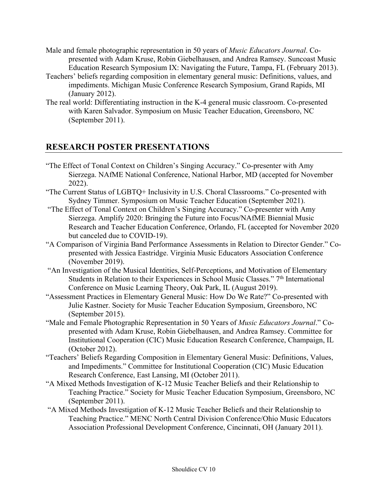- Male and female photographic representation in 50 years of *Music Educators Journal*. Copresented with Adam Kruse, Robin Giebelhausen, and Andrea Ramsey. Suncoast Music Education Research Symposium IX: Navigating the Future, Tampa, FL (February 2013).
- Teachers' beliefs regarding composition in elementary general music: Definitions, values, and impediments. Michigan Music Conference Research Symposium, Grand Rapids, MI (January 2012).
- The real world: Differentiating instruction in the K-4 general music classroom. Co-presented with Karen Salvador. Symposium on Music Teacher Education, Greensboro, NC (September 2011).

### **RESEARCH POSTER PRESENTATIONS**

- "The Effect of Tonal Context on Children's Singing Accuracy." Co-presenter with Amy Sierzega. NAfME National Conference, National Harbor, MD (accepted for November 2022).
- "The Current Status of LGBTQ+ Inclusivity in U.S. Choral Classrooms." Co-presented with Sydney Timmer. Symposium on Music Teacher Education (September 2021).
- "The Effect of Tonal Context on Children's Singing Accuracy." Co-presenter with Amy Sierzega. Amplify 2020: Bringing the Future into Focus/NAfME Biennial Music Research and Teacher Education Conference, Orlando, FL (accepted for November 2020 but canceled due to COVID-19).
- "A Comparison of Virginia Band Performance Assessments in Relation to Director Gender." Copresented with Jessica Eastridge. Virginia Music Educators Association Conference (November 2019).
- "An Investigation of the Musical Identities, Self-Perceptions, and Motivation of Elementary Students in Relation to their Experiences in School Music Classes." 7<sup>th</sup> International Conference on Music Learning Theory, Oak Park, IL (August 2019).
- "Assessment Practices in Elementary General Music: How Do We Rate?" Co-presented with Julie Kastner. Society for Music Teacher Education Symposium, Greensboro, NC (September 2015).
- "Male and Female Photographic Representation in 50 Years of *Music Educators Journal*." Copresented with Adam Kruse, Robin Giebelhausen, and Andrea Ramsey. Committee for Institutional Cooperation (CIC) Music Education Research Conference, Champaign, IL (October 2012).
- "Teachers' Beliefs Regarding Composition in Elementary General Music: Definitions, Values, and Impediments." Committee for Institutional Cooperation (CIC) Music Education Research Conference, East Lansing, MI (October 2011).
- "A Mixed Methods Investigation of K-12 Music Teacher Beliefs and their Relationship to Teaching Practice." Society for Music Teacher Education Symposium, Greensboro, NC (September 2011).
- "A Mixed Methods Investigation of K-12 Music Teacher Beliefs and their Relationship to Teaching Practice." MENC North Central Division Conference/Ohio Music Educators Association Professional Development Conference, Cincinnati, OH (January 2011).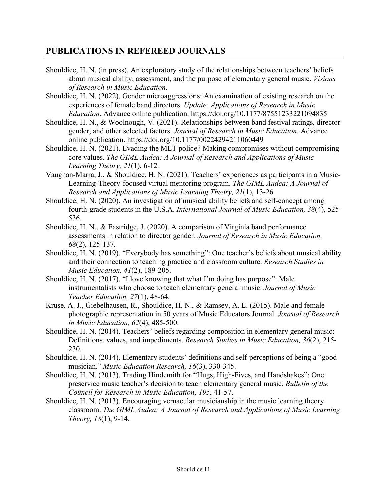### **PUBLICATIONS IN REFEREED JOURNALS**

- Shouldice, H. N. (in press). An exploratory study of the relationships between teachers' beliefs about musical ability, assessment, and the purpose of elementary general music. *Visions of Research in Music Education*.
- Shouldice, H. N. (2022). Gender microaggressions: An examination of existing research on the experiences of female band directors. *Update: Applications of Research in Music Education*. Advance online publication. https://doi.org/10.1177/87551233221094835
- Shouldice, H. N., & Woolnough, V. (2021). Relationships between band festival ratings, director gender, and other selected factors. *Journal of Research in Music Education.* Advance online publication. https://doi.org/10.1177/00224294211060449
- Shouldice, H. N. (2021). Evading the MLT police? Making compromises without compromising core values. *The GIML Audea: A Journal of Research and Applications of Music Learning Theory, 21*(1), 6-12*.*
- Vaughan-Marra, J., & Shouldice, H. N. (2021). Teachers' experiences as participants in a Music-Learning-Theory-focused virtual mentoring program. *The GIML Audea: A Journal of Research and Applications of Music Learning Theory, 21*(1), 13-26*.*
- Shouldice, H. N. (2020). An investigation of musical ability beliefs and self-concept among fourth-grade students in the U.S.A. *International Journal of Music Education, 38*(4), 525- 536.
- Shouldice, H. N., & Eastridge, J. (2020). A comparison of Virginia band performance assessments in relation to director gender. *Journal of Research in Music Education, 68*(2), 125-137*.*
- Shouldice, H. N. (2019). "Everybody has something": One teacher's beliefs about musical ability and their connection to teaching practice and classroom culture. *Research Studies in Music Education, 41*(2), 189-205.
- Shouldice, H. N. (2017). "I love knowing that what I'm doing has purpose": Male instrumentalists who choose to teach elementary general music. *Journal of Music Teacher Education, 27*(1), 48-64.
- Kruse, A. J., Giebelhausen, R., Shouldice, H. N., & Ramsey, A. L. (2015). Male and female photographic representation in 50 years of Music Educators Journal. *Journal of Research in Music Education, 62*(4), 485-500.
- Shouldice, H. N. (2014). Teachers' beliefs regarding composition in elementary general music: Definitions, values, and impediments. *Research Studies in Music Education, 36*(2), 215- 230.
- Shouldice, H. N. (2014). Elementary students' definitions and self-perceptions of being a "good musician." *Music Education Research, 16*(3), 330-345.
- Shouldice, H. N. (2013). Trading Hindemith for "Hugs, High-Fives, and Handshakes": One preservice music teacher's decision to teach elementary general music. *Bulletin of the Council for Research in Music Education, 195*, 41-57.
- Shouldice, H. N. (2013). Encouraging vernacular musicianship in the music learning theory classroom. *The GIML Audea: A Journal of Research and Applications of Music Learning Theory, 18*(1), 9-14.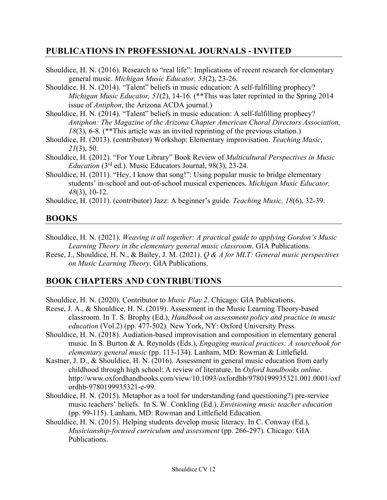### **PUBLICATIONS IN PROFESSIONAL JOURNALS - INVITED**

students' in-school and out-of-school musical experiences. *Michigan Music Educator, 48*(3), 10-12.

Shouldice, H. (2011). (contributor) Jazz: A beginner's guide. *Teaching Music, 18*(6), 32-39.

# **BOOKS**

- Shouldice, H. N. (2021). *Weaving it all together: A practical guide to applying Gordon's Music Learning Theory in the elementary general music classroom*. GIA Publications.
- Reese, J., Shouldice, H. N., & Bailey, J. M. (2021). *Q & A for MLT: General music perspectives on Music Learning Theory*. GIA Publications.

# **BOOK CHAPTERS AND CONTRIBUTIONS**

- Shouldice, H. N. (2020). Contributor to *Music Play 2*. Chicago: GIA Publications.
- Reese, J. A., & Shouldice, H. N. (2019). Assessment in the Music Learning Theory-based classroom. In T. S. Brophy (Ed.), *Handbook on assessment policy and practice in music education* (Vol.2) (pp. 477-502)*.* New York, NY: Oxford University Press.
- Shouldice, H. N. (2018). Audiation-based improvisation and composition in elementary general music. In S. Burton & A. Reynolds (Eds.), *Engaging musical practices: A sourcebook for elementary general music* (pp. 113-134). Lanham, MD: Rowman & Littlefield.
- Kastner, J. D., & Shouldice, H. N. (2016). Assessment in general music education from early childhood through high school: A review of literature. In *Oxford handbooks online*. http://www.oxfordhandbooks.com/view/10.1093/oxfordhb/9780199935321.001.0001/oxf ordhb-9780199935321-e-99.
- Shouldice, H. N. (2015). Metaphor as a tool for understanding (and questioning?) pre-service music teachers' beliefs. In S. W. Conkling (Ed.), *Envisioning music teacher education* (pp. 99-115). Lanham, MD: Rowman and Littlefield Education.
- Shouldice, H. N. (2015). Helping students develop music literacy. In C. Conway (Ed.), *Musicianship-focused curriculum and assessment* (pp. 266-297)*.* Chicago: GIA Publications.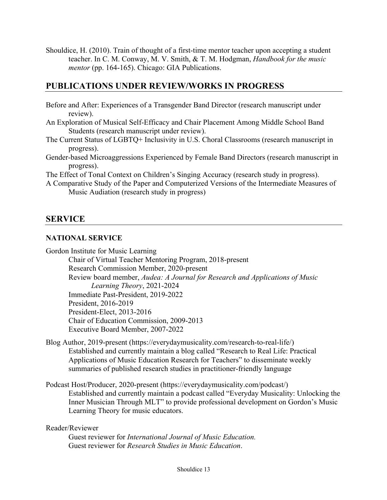Shouldice, H. (2010). Train of thought of a first-time mentor teacher upon accepting a student teacher. In C. M. Conway, M. V. Smith, & T. M. Hodgman, *Handbook for the music mentor* (pp. 164-165). Chicago: GIA Publications.

## **PUBLICATIONS UNDER REVIEW/WORKS IN PROGRESS**

- Before and After: Experiences of a Transgender Band Director (research manuscript under review).
- An Exploration of Musical Self-Efficacy and Chair Placement Among Middle School Band Students (research manuscript under review).
- The Current Status of LGBTQ+ Inclusivity in U.S. Choral Classrooms (research manuscript in progress).
- Gender-based Microaggressions Experienced by Female Band Directors (research manuscript in progress).
- The Effect of Tonal Context on Children's Singing Accuracy (research study in progress).

A Comparative Study of the Paper and Computerized Versions of the Intermediate Measures of Music Audiation (research study in progress)

### **SERVICE**

#### **NATIONAL SERVICE**

Gordon Institute for Music Learning

Chair of Virtual Teacher Mentoring Program, 2018-present Research Commission Member, 2020-present Review board member, *Audea: A Journal for Research and Applications of Music Learning Theory*, 2021-2024 Immediate Past-President, 2019-2022 President, 2016-2019 President-Elect, 2013-2016 Chair of Education Commission, 2009-2013 Executive Board Member, 2007-2022

Blog Author, 2019-present (https://everydaymusicality.com/research-to-real-life/) Established and currently maintain a blog called "Research to Real Life: Practical Applications of Music Education Research for Teachers" to disseminate weekly summaries of published research studies in practitioner-friendly language

Podcast Host/Producer, 2020-present (https://everydaymusicality.com/podcast/) Established and currently maintain a podcast called "Everyday Musicality: Unlocking the Inner Musician Through MLT" to provide professional development on Gordon's Music Learning Theory for music educators.

#### Reader/Reviewer

Guest reviewer for *International Journal of Music Education.* Guest reviewer for *Research Studies in Music Education*.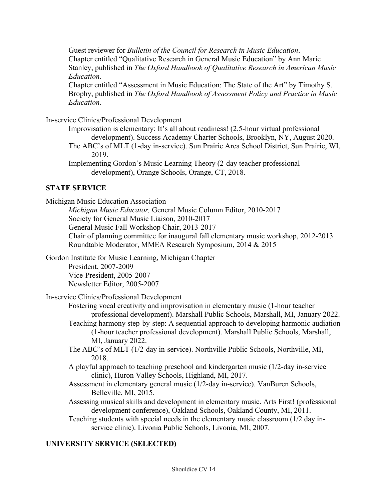Guest reviewer for *Bulletin of the Council for Research in Music Education*. Chapter entitled "Qualitative Research in General Music Education" by Ann Marie Stanley, published in *The Oxford Handbook of Qualitative Research in American Music Education*.

Chapter entitled "Assessment in Music Education: The State of the Art" by Timothy S. Brophy, published in *The Oxford Handbook of Assessment Policy and Practice in Music Education*.

In-service Clinics/Professional Development

- Improvisation is elementary: It's all about readiness! (2.5-hour virtual professional development). Success Academy Charter Schools, Brooklyn, NY, August 2020.
- The ABC's of MLT (1-day in-service). Sun Prairie Area School District, Sun Prairie, WI, 2019.
- Implementing Gordon's Music Learning Theory (2-day teacher professional development), Orange Schools, Orange, CT, 2018.

### **STATE SERVICE**

Michigan Music Education Association *Michigan Music Educator,* General Music Column Editor, 2010-2017 Society for General Music Liaison, 2010-2017 General Music Fall Workshop Chair, 2013-2017 Chair of planning committee for inaugural fall elementary music workshop, 2012-2013 Roundtable Moderator, MMEA Research Symposium, 2014 & 2015 Gordon Institute for Music Learning, Michigan Chapter President, 2007-2009 Vice-President, 2005-2007 Newsletter Editor, 2005-2007 In-service Clinics/Professional Development Fostering vocal creativity and improvisation in elementary music (1-hour teacher professional development). Marshall Public Schools, Marshall, MI, January 2022. Teaching harmony step-by-step: A sequential approach to developing harmonic audiation (1-hour teacher professional development). Marshall Public Schools, Marshall, MI, January 2022. The ABC's of MLT (1/2-day in-service). Northville Public Schools, Northville, MI, 2018. A playful approach to teaching preschool and kindergarten music (1/2-day in-service clinic), Huron Valley Schools, Highland, MI, 2017. Assessment in elementary general music (1/2-day in-service). VanBuren Schools, Belleville, MI, 2015. Assessing musical skills and development in elementary music. Arts First! (professional development conference), Oakland Schools, Oakland County, MI, 2011. Teaching students with special needs in the elementary music classroom (1/2 day inservice clinic). Livonia Public Schools, Livonia, MI, 2007.

#### **UNIVERSITY SERVICE (SELECTED)**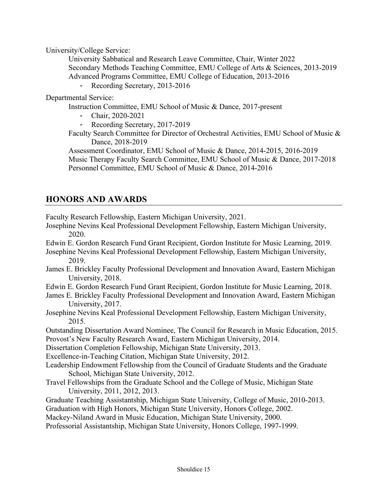University/College Service:

University Sabbatical and Research Leave Committee, Chair, Winter 2022 Secondary Methods Teaching Committee, EMU College of Arts & Sciences, 2013-2019 Advanced Programs Committee, EMU College of Education, 2013-2016

Recording Secretary, 2013-2016

Departmental Service:

Instruction Committee, EMU School of Music & Dance, 2017-present

- Chair, 2020-2021
- Recording Secretary, 2017-2019
- Faculty Search Committee for Director of Orchestral Activities, EMU School of Music & Dance, 2018-2019

Assessment Coordinator, EMU School of Music & Dance, 2014-2015, 2016-2019 Music Therapy Faculty Search Committee, EMU School of Music & Dance, 2017-2018 Personnel Committee, EMU School of Music & Dance, 2014-2016

## **HONORS AND AWARDS**

Faculty Research Fellowship, Eastern Michigan University, 2021.

- Josephine Nevins Keal Professional Development Fellowship, Eastern Michigan University, 2020.
- Edwin E. Gordon Research Fund Grant Recipient, Gordon Institute for Music Learning, 2019.
- Josephine Nevins Keal Professional Development Fellowship, Eastern Michigan University, 2019.
- James E. Brickley Faculty Professional Development and Innovation Award, Eastern Michigan University, 2018.
- Edwin E. Gordon Research Fund Grant Recipient, Gordon Institute for Music Learning, 2018.
- James E. Brickley Faculty Professional Development and Innovation Award, Eastern Michigan University, 2017.
- Josephine Nevins Keal Professional Development Fellowship, Eastern Michigan University, 2015.

Outstanding Dissertation Award Nominee, The Council for Research in Music Education, 2015. Provost's New Faculty Research Award, Eastern Michigan University, 2014.

Dissertation Completion Fellowship, Michigan State University, 2013.

Excellence-in-Teaching Citation, Michigan State University, 2012.

- Leadership Endowment Fellowship from the Council of Graduate Students and the Graduate School, Michigan State University, 2012.
- Travel Fellowships from the Graduate School and the College of Music, Michigan State University, 2011, 2012, 2013.
- Graduate Teaching Assistantship, Michigan State University, College of Music, 2010-2013.

Graduation with High Honors, Michigan State University, Honors College, 2002.

Mackey-Niland Award in Music Education, Michigan State University, 2000.

Professorial Assistantship, Michigan State University, Honors College, 1997-1999.